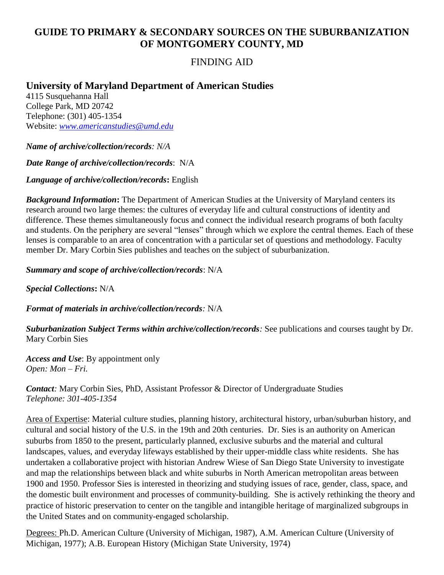## **GUIDE TO PRIMARY & SECONDARY SOURCES ON THE SUBURBANIZATION OF MONTGOMERY COUNTY, MD**

## FINDING AID

## **University of Maryland Department of American Studies**

4115 Susquehanna Hall College Park, MD 20742 Telephone: (301) 405-1354 Website: *[www.americanstudies@umd.edu](http://www.americanstudies@umd.edu)*

*Name of archive/collection/records: N/A* 

*Date Range of archive/collection/records*: N/A

*Language of archive/collection/records***:** English

*Background Information***:** The Department of American Studies at the University of Maryland centers its research around two large themes: the cultures of everyday life and cultural constructions of identity and difference. These themes simultaneously focus and connect the individual research programs of both faculty and students. On the periphery are several "lenses" through which we explore the central themes. Each of these lenses is comparable to an area of concentration with a particular set of questions and methodology. Faculty member Dr. Mary Corbin Sies publishes and teaches on the subject of suburbanization.

*Summary and scope of archive/collection/records*: N/A

*Special Collections***:** N/A

*Format of materials in archive/collection/records:* N/A

*Suburbanization Subject Terms within archive/collection/records:* See publications and courses taught by Dr. Mary Corbin Sies

*Access and Use*: By appointment only *Open: Mon – Fri.* 

*Contact:* Mary Corbin Sies, PhD, Assistant Professor & Director of Undergraduate Studies *Telephone: 301-405-1354*

Area of Expertise: Material culture studies, planning history, architectural history, urban/suburban history, and cultural and social history of the U.S. in the 19th and 20th centuries. Dr. Sies is an authority on American suburbs from 1850 to the present, particularly planned, exclusive suburbs and the material and cultural landscapes, values, and everyday lifeways established by their upper-middle class white residents. She has undertaken a collaborative project with historian Andrew Wiese of San Diego State University to investigate and map the relationships between black and white suburbs in North American metropolitan areas between 1900 and 1950. Professor Sies is interested in theorizing and studying issues of race, gender, class, space, and the domestic built environment and processes of community-building. She is actively rethinking the theory and practice of historic preservation to center on the tangible and intangible heritage of marginalized subgroups in the United States and on community-engaged scholarship.

Degrees: Ph.D. American Culture (University of Michigan, 1987), A.M. American Culture (University of Michigan, 1977); A.B. European History (Michigan State University, 1974)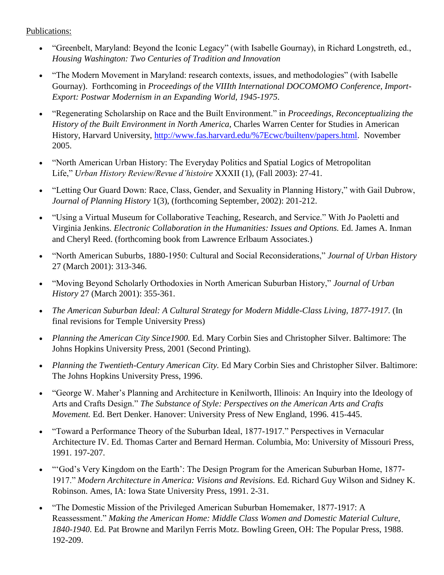Publications:

- "Greenbelt, Maryland: Beyond the Iconic Legacy" (with Isabelle Gournay), in Richard Longstreth, ed., *Housing Washington: Two Centuries of Tradition and Innovation*
- "The Modern Movement in Maryland: research contexts, issues, and methodologies" (with Isabelle Gournay). Forthcoming in *Proceedings of the VIIIth International DOCOMOMO Conference, Import-Export: Postwar Modernism in an Expanding World, 1945-1975*.
- "Regenerating Scholarship on Race and the Built Environment." in *Proceedings, Reconceptualizing the History of the Built Environment in North America*, Charles Warren Center for Studies in American History, Harvard University, [http://www.fas.harvard.edu/%7Ecwc/builtenv/papers.html.](http://www.fas.harvard.edu/~cwc/builtenv/papers.html) November 2005.
- "North American Urban History: The Everyday Politics and Spatial Logics of Metropolitan Life," *Urban History Review/Revue d'histoire* XXXII (1), (Fall 2003): 27-41.
- "Letting Our Guard Down: Race, Class, Gender, and Sexuality in Planning History," with Gail Dubrow, *Journal of Planning History* 1(3), (forthcoming September, 2002): 201-212.
- "Using a Virtual Museum for Collaborative Teaching, Research, and Service." With Jo Paoletti and Virginia Jenkins. *Electronic Collaboration in the Humanities: Issues and Options.* Ed. James A. Inman and Cheryl Reed. (forthcoming book from Lawrence Erlbaum Associates.)
- "North American Suburbs, 1880-1950: Cultural and Social Reconsiderations," *Journal of Urban History* 27 (March 2001): 313-346.
- "Moving Beyond Scholarly Orthodoxies in North American Suburban History," *Journal of Urban History* 27 (March 2001): 355-361.
- *The American Suburban Ideal: A Cultural Strategy for Modern Middle-Class Living, 1877-1917.* (In final revisions for Temple University Press)
- *Planning the American City Since1900.* Ed. Mary Corbin Sies and Christopher Silver. Baltimore: The Johns Hopkins University Press, 2001 (Second Printing).
- *Planning the Twentieth-Century American City.* Ed Mary Corbin Sies and Christopher Silver. Baltimore: The Johns Hopkins University Press, 1996.
- "George W. Maher's Planning and Architecture in Kenilworth, Illinois: An Inquiry into the Ideology of Arts and Crafts Design." *The Substance of Style: Perspectives on the American Arts and Crafts Movement.* Ed. Bert Denker. Hanover: University Press of New England, 1996. 415-445.
- "Toward a Performance Theory of the Suburban Ideal, 1877-1917." Perspectives in Vernacular Architecture IV. Ed. Thomas Carter and Bernard Herman. Columbia, Mo: University of Missouri Press, 1991. 197-207.
- "'God's Very Kingdom on the Earth': The Design Program for the American Suburban Home, 1877- 1917." *Modern Architecture in America: Visions and Revisions.* Ed. Richard Guy Wilson and Sidney K. Robinson. Ames, IA: Iowa State University Press, 1991. 2-31.
- "The Domestic Mission of the Privileged American Suburban Homemaker, 1877-1917: A Reassessment." *Making the American Home: Middle Class Women and Domestic Material Culture, 1840-1940.* Ed. Pat Browne and Marilyn Ferris Motz. Bowling Green, OH: The Popular Press, 1988. 192-209.